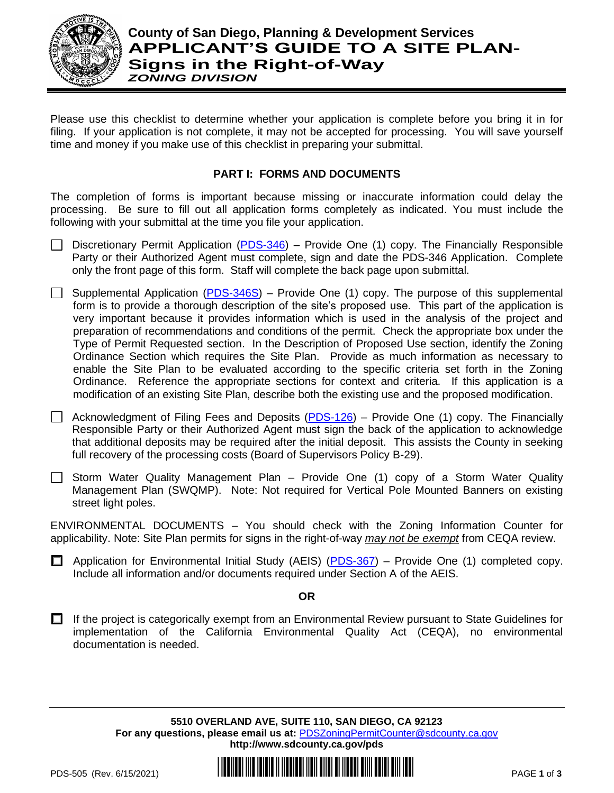

## **County of San Diego, Planning & Development Services APPLICANT'S GUIDE TO A SITE PLAN-Signs in the Right-of-Way** *ZONING DIVISION*

Please use this checklist to determine whether your application is complete before you bring it in for filing. If your application is not complete, it may not be accepted for processing. You will save yourself time and money if you make use of this checklist in preparing your submittal.

### **PART I: FORMS AND DOCUMENTS**

The completion of forms is important because missing or inaccurate information could delay the processing. Be sure to fill out all application forms completely as indicated. You must include the following with your submittal at the time you file your application.

- Discretionary Permit Application [\(PDS-346\)](https://www.sandiegocounty.gov/content/dam/sdc/pds/zoning/formfields/PDS-PLN-346.pdf) Provide One (1) copy. The Financially Responsible Party or their Authorized Agent must complete, sign and date the PDS-346 Application. Complete only the front page of this form. Staff will complete the back page upon submittal.
- Supplemental Application [\(PDS-346S\)](https://www.sandiegocounty.gov/content/dam/sdc/pds/zoning/formfields/PDS-PLN-346S.pdf) Provide One (1) copy. The purpose of this supplemental form is to provide a thorough description of the site's proposed use. This part of the application is very important because it provides information which is used in the analysis of the project and preparation of recommendations and conditions of the permit. Check the appropriate box under the Type of Permit Requested section. In the Description of Proposed Use section, identify the Zoning Ordinance Section which requires the Site Plan. Provide as much information as necessary to enable the Site Plan to be evaluated according to the specific criteria set forth in the Zoning Ordinance. Reference the appropriate sections for context and criteria. If this application is a modification of an existing Site Plan, describe both the existing use and the proposed modification.

 $\Box$  Acknowledgment of Filing Fees and Deposits [\(PDS-126\)](https://www.sandiegocounty.gov/content/dam/sdc/pds/zoning/formfields/PDS-PLN-126.pdf) – Provide One (1) copy. The Financially Responsible Party or their Authorized Agent must sign the back of the application to acknowledge that additional deposits may be required after the initial deposit. This assists the County in seeking full recovery of the processing costs (Board of Supervisors Policy B-29).

 $\Box$  Storm Water Quality Management Plan – Provide One (1) copy of a Storm Water Quality Management Plan (SWQMP). Note: Not required for Vertical Pole Mounted Banners on existing street light poles.

ENVIRONMENTAL DOCUMENTS – You should check with the Zoning Information Counter for applicability. Note: Site Plan permits for signs in the right-of-way *may not be exempt* from CEQA review.

**E** Application for Environmental Initial Study (AEIS) ( $PDS-367$ ) – Provide One (1) completed copy. Include all information and/or documents required under Section A of the AEIS.

#### **OR**

 $\Box$  If the project is categorically exempt from an Environmental Review pursuant to State Guidelines for implementation of the California Environmental Quality Act (CEQA), no environmental documentation is needed.

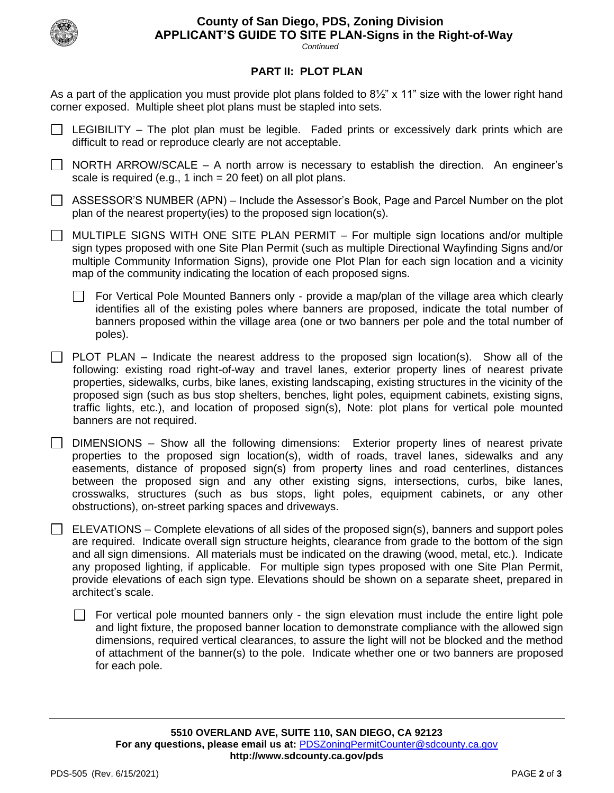

# **County of San Diego, PDS, Zoning Division APPLICANT'S GUIDE TO SITE PLAN-Signs in the Right-of-Way**

*Continued*

### **PART II: PLOT PLAN**

As a part of the application you must provide plot plans folded to 8½" x 11" size with the lower right hand corner exposed. Multiple sheet plot plans must be stapled into sets.

- $\Box$  LEGIBILITY The plot plan must be legible. Faded prints or excessively dark prints which are difficult to read or reproduce clearly are not acceptable.
- $\Box$  NORTH ARROW/SCALE A north arrow is necessary to establish the direction. An engineer's scale is required (e.g., 1 inch = 20 feet) on all plot plans.
- $\Box$  ASSESSOR'S NUMBER (APN) Include the Assessor's Book, Page and Parcel Number on the plot plan of the nearest property(ies) to the proposed sign location(s).
- $\Box$  MULTIPLE SIGNS WITH ONE SITE PLAN PERMIT For multiple sign locations and/or multiple sign types proposed with one Site Plan Permit (such as multiple Directional Wayfinding Signs and/or multiple Community Information Signs), provide one Plot Plan for each sign location and a vicinity map of the community indicating the location of each proposed signs.
	- For Vertical Pole Mounted Banners only provide a map/plan of the village area which clearly identifies all of the existing poles where banners are proposed, indicate the total number of banners proposed within the village area (one or two banners per pole and the total number of poles).
- $\Box$  PLOT PLAN Indicate the nearest address to the proposed sign location(s). Show all of the following: existing road right-of-way and travel lanes, exterior property lines of nearest private properties, sidewalks, curbs, bike lanes, existing landscaping, existing structures in the vicinity of the proposed sign (such as bus stop shelters, benches, light poles, equipment cabinets, existing signs, traffic lights, etc.), and location of proposed sign(s), Note: plot plans for vertical pole mounted banners are not required.
- DIMENSIONS Show all the following dimensions: Exterior property lines of nearest private  $\Box$ properties to the proposed sign location(s), width of roads, travel lanes, sidewalks and any easements, distance of proposed sign(s) from property lines and road centerlines, distances between the proposed sign and any other existing signs, intersections, curbs, bike lanes, crosswalks, structures (such as bus stops, light poles, equipment cabinets, or any other obstructions), on-street parking spaces and driveways.
- $\Box$  ELEVATIONS Complete elevations of all sides of the proposed sign(s), banners and support poles are required. Indicate overall sign structure heights, clearance from grade to the bottom of the sign and all sign dimensions. All materials must be indicated on the drawing (wood, metal, etc.). Indicate any proposed lighting, if applicable. For multiple sign types proposed with one Site Plan Permit, provide elevations of each sign type. Elevations should be shown on a separate sheet, prepared in architect's scale.
	- $\Box$  For vertical pole mounted banners only the sign elevation must include the entire light pole and light fixture, the proposed banner location to demonstrate compliance with the allowed sign dimensions, required vertical clearances, to assure the light will not be blocked and the method of attachment of the banner(s) to the pole. Indicate whether one or two banners are proposed for each pole.